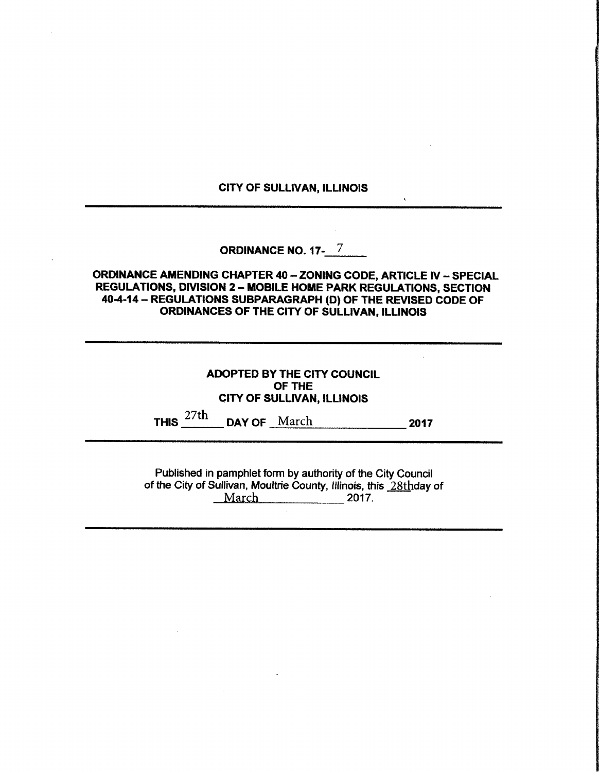### CITY OF SULLIVAN, ILLINOIS

 $\ddot{\phantom{0}}$ 

# ORDINANCE NO. 17-17

# ORDINANCE AMENDING CHAPTER 40— ZONING CODE, ARTICLE IV— SPECIAL REGULATIONS, DIVISION 2— MOBILE HOME PARK REGULATIONS, SECTION 40-4-14 - REGULATIONS SUBPARAGRAPH (D) OF THE REVISED CODE OF ORDINANCES OF THE CITY OF SULLIVAN, ILLINOIS

|                | <b>ADOPTED BY THE CITY COUNCIL</b><br>OF THE<br><b>CITY OF SULLIVAN, ILLINOIS</b> |      |  |  |  |  |
|----------------|-----------------------------------------------------------------------------------|------|--|--|--|--|
| THIS $^{27th}$ | DAY OF March                                                                      | 2017 |  |  |  |  |

Published in pamphlet form by authority of the City Council of the City of Sullivan, Moultrie County, Illinois, this 28thday of March 2017.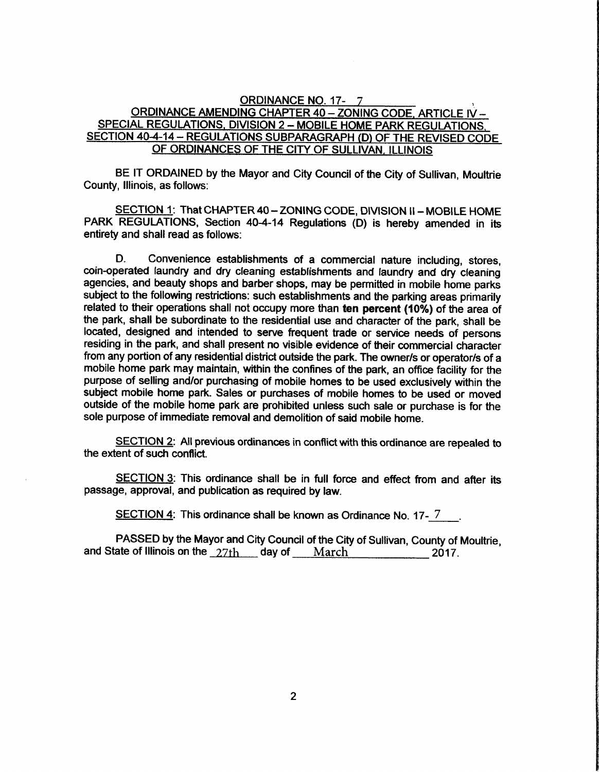#### ORDINANCE NO. 17- 7

## ORDINANCE AMENDING CHAPTER 40 - ZONING CODE, ARTICLE IV -SPECIAL REGULATIONS. DIVISION 2— MOBILE HOME PARK REGULATIONS SECTION 40-4-14 - REGULATIONS SUBPARAGRAPH (D) OF THE REVISED CODE OF ORDINANCES OF THE CITY OF SULLIVAN, ILLINOIS

BE IT ORDAINED by the Mayor and City Council of the City of Sullivan, Moultrie County, Illinois, as follows:

SECTION 1: That CHAPTER 40 - ZONING CODE, DIVISION II - MOBILE HOME PARK REGULATIONS, Section 40-4-14 Regulations (D) is hereby amended in its entirety and shall read as follows:

D. Convenience establishments of <sup>a</sup> commercial nature including, stores, coin-operated laundry and dry cleaning establishments and laundry and dry cleaning agencies, and beauty shops and barber shops, may be permitted in mobile home parks subject to the following restrictions: such establishments and the parking areas primarily related to their operations shall not occupy more than ten percent (10%) of the area of the park, shall be subordinate to the residential use and character of the park, shall be located, designed and intended to serve frequent trade or service needs of persons residing in the park, and shall present no visible evidence of their commercial character from any portion of any residential district outside the park. The owner/s or operator/s of a mobile home park may maintain, within the confines of the park, an office facility for the purpose of selling and/or purchasing of mobile homes to be used exclusively within the subject mobile home park. Sales or purchases of mobile homes to be used or moved outside of the mobile home park are prohibited unless such sale or purchase is for the sole purpose of immediate removal and demolition of said mobile home.

SECTION 2: All previous ordinances in conflict with this ordinance are repealed to the extent of such conflict.

SECTION 3: This ordinance shall be in full force and effect from and after its passage, approval, and publication as required by law.

SECTION 4: This ordinance shall be known as Ordinance No. 17-7.

PASSED by the Mayor and City Council of the City of Sullivan, County of Moultrie, and State of Illinois on the  $27th$  day of March 2017.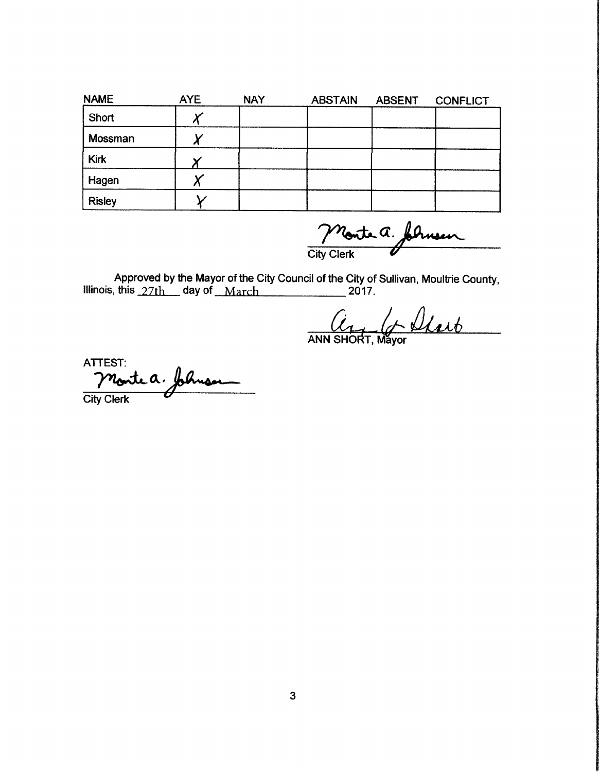| <b>NAME</b>   | <b>AYE</b> | <b>NAY</b> | <b>ABSTAIN</b> | <b>ABSENT</b> | <b>CONFLICT</b> |
|---------------|------------|------------|----------------|---------------|-----------------|
| Short         |            |            |                |               |                 |
| Mossman       |            |            |                |               |                 |
| <b>Kirk</b>   |            |            |                |               |                 |
| Hagen         |            |            |                |               |                 |
| <b>Risley</b> |            |            |                |               |                 |

Monte a. formen

Approved by the Mayor of the City Council of the City of Sullivan, Moultrie County,<br>this 27th day of March 2017. Illinois, this  $27th$  day of March

 $a_{1}$ 

ANN SHORT, Máyor

ATTEST:<br>Monte a. folimon **City Clerk**